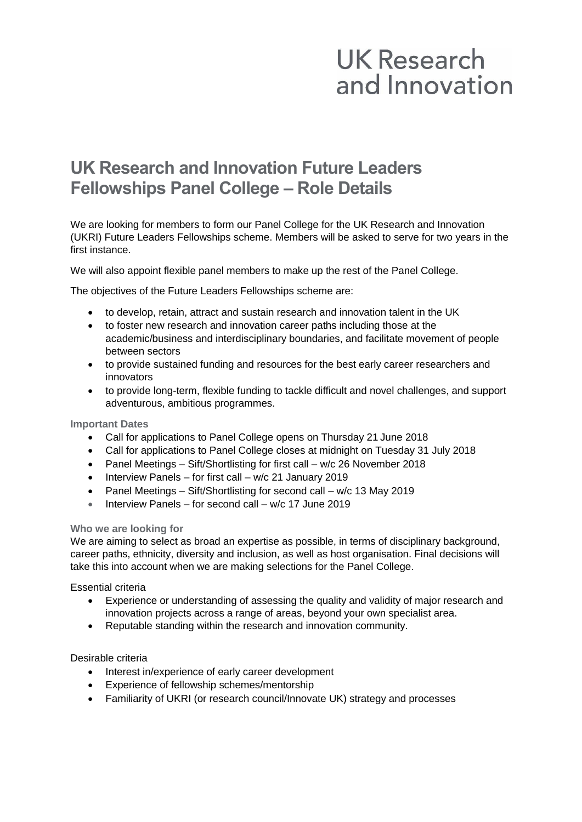# **UK Research** and Innovation

## **UK Research and Innovation Future Leaders Fellowships Panel College – Role Details**

We are looking for members to form our Panel College for the UK Research and Innovation (UKRI) Future Leaders Fellowships scheme. Members will be asked to serve for two years in the first instance.

We will also appoint flexible panel members to make up the rest of the Panel College.

The objectives of the Future Leaders Fellowships scheme are:

- to develop, retain, attract and sustain research and innovation talent in the UK
- to foster new research and innovation career paths including those at the academic/business and interdisciplinary boundaries, and facilitate movement of people between sectors
- to provide sustained funding and resources for the best early career researchers and innovators
- to provide long-term, flexible funding to tackle difficult and novel challenges, and support adventurous, ambitious programmes.

#### **Important Dates**

- Call for applications to Panel College opens on Thursday 21 June 2018
- Call for applications to Panel College closes at midnight on Tuesday 31 July 2018
- Panel Meetings Sift/Shortlisting for first call w/c 26 November 2018
- Interview Panels for first call w/c 21 January 2019
- Panel Meetings Sift/Shortlisting for second call w/c 13 May 2019
- Interview Panels for second call w/c 17 June 2019

#### **Who we are looking for**

We are aiming to select as broad an expertise as possible, in terms of disciplinary background, career paths, ethnicity, diversity and inclusion, as well as host organisation. Final decisions will take this into account when we are making selections for the Panel College.

Essential criteria

- Experience or understanding of assessing the quality and validity of major research and innovation projects across a range of areas, beyond your own specialist area.
- Reputable standing within the research and innovation community.

#### Desirable criteria

- Interest in/experience of early career development
- Experience of fellowship schemes/mentorship
- Familiarity of UKRI (or research council/Innovate UK) strategy and processes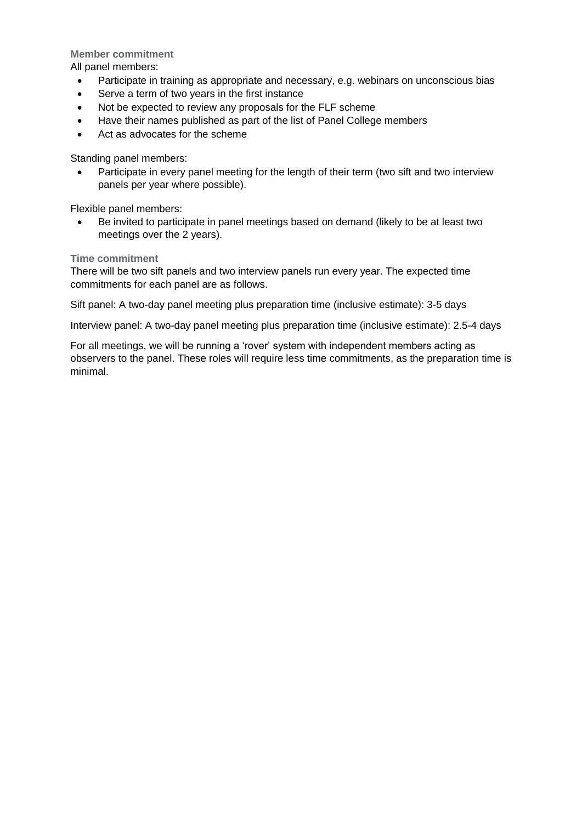**Member commitment**

All panel members:

- Participate in training as appropriate and necessary, e.g. webinars on unconscious bias
- Serve a term of two years in the first instance
- Not be expected to review any proposals for the FLF scheme
- Have their names published as part of the list of Panel College members
- Act as advocates for the scheme

Standing panel members:

• Participate in every panel meeting for the length of their term (two sift and two interview panels per year where possible).

Flexible panel members:

• Be invited to participate in panel meetings based on demand (likely to be at least two meetings over the 2 years).

**Time commitment**

There will be two sift panels and two interview panels run every year. The expected time commitments for each panel are as follows.

Sift panel: A two-day panel meeting plus preparation time (inclusive estimate): 3-5 days

Interview panel: A two-day panel meeting plus preparation time (inclusive estimate): 2.5-4 days

For all meetings, we will be running a 'rover' system with independent members acting as observers to the panel. These roles will require less time commitments, as the preparation time is minimal.